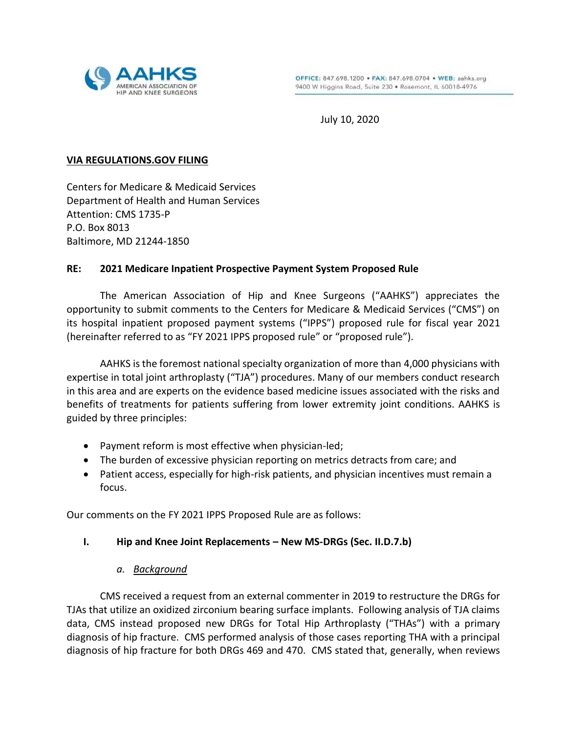

July 10, 2020

### **VIA REGULATIONS.GOV FILING**

Centers for Medicare & Medicaid Services Department of Health and Human Services Attention: CMS 1735-P P.O. Box 8013 Baltimore, MD 21244-1850

### **RE: 2021 Medicare Inpatient Prospective Payment System Proposed Rule**

The American Association of Hip and Knee Surgeons ("AAHKS") appreciates the opportunity to submit comments to the Centers for Medicare & Medicaid Services ("CMS") on its hospital inpatient proposed payment systems ("IPPS") proposed rule for fiscal year 2021 (hereinafter referred to as "FY 2021 IPPS proposed rule" or "proposed rule").

AAHKS is the foremost national specialty organization of more than 4,000 physicians with expertise in total joint arthroplasty ("TJA") procedures. Many of our members conduct research in this area and are experts on the evidence based medicine issues associated with the risks and benefits of treatments for patients suffering from lower extremity joint conditions. AAHKS is guided by three principles:

- Payment reform is most effective when physician-led;
- The burden of excessive physician reporting on metrics detracts from care; and
- Patient access, especially for high-risk patients, and physician incentives must remain a focus.

Our comments on the FY 2021 IPPS Proposed Rule are as follows:

### **I. Hip and Knee Joint Replacements – New MS-DRGs (Sec. II.D.7.b)**

### *a. Background*

CMS received a request from an external commenter in 2019 to restructure the DRGs for TJAs that utilize an oxidized zirconium bearing surface implants. Following analysis of TJA claims data, CMS instead proposed new DRGs for Total Hip Arthroplasty ("THAs") with a primary diagnosis of hip fracture. CMS performed analysis of those cases reporting THA with a principal diagnosis of hip fracture for both DRGs 469 and 470. CMS stated that, generally, when reviews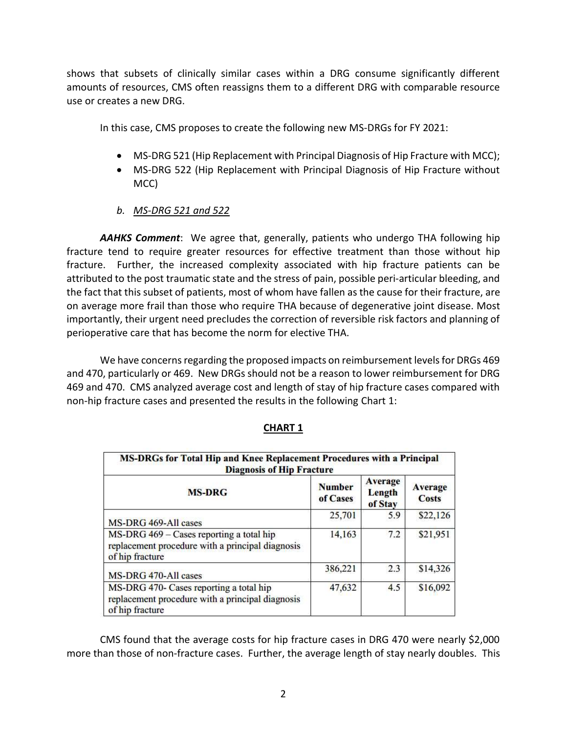shows that subsets of clinically similar cases within a DRG consume significantly different amounts of resources, CMS often reassigns them to a different DRG with comparable resource use or creates a new DRG.

In this case, CMS proposes to create the following new MS-DRGs for FY 2021:

- MS-DRG 521 (Hip Replacement with Principal Diagnosis of Hip Fracture with MCC);
- MS-DRG 522 (Hip Replacement with Principal Diagnosis of Hip Fracture without MCC)
- *b. MS-DRG 521 and 522*

*AAHKS Comment*: We agree that, generally, patients who undergo THA following hip fracture tend to require greater resources for effective treatment than those without hip fracture. Further, the increased complexity associated with hip fracture patients can be attributed to the post traumatic state and the stress of pain, possible peri-articular bleeding, and the fact that this subset of patients, most of whom have fallen as the cause for their fracture, are on average more frail than those who require THA because of degenerative joint disease. Most importantly, their urgent need precludes the correction of reversible risk factors and planning of perioperative care that has become the norm for elective THA.

We have concerns regarding the proposed impacts on reimbursement levels for DRGs 469 and 470, particularly or 469. New DRGs should not be a reason to lower reimbursement for DRG 469 and 470. CMS analyzed average cost and length of stay of hip fracture cases compared with non-hip fracture cases and presented the results in the following Chart 1:

| MS-DRGs for Total Hip and Knee Replacement Procedures with a Principal<br><b>Diagnosis of Hip Fracture</b>      |                           |                              |                                |  |  |  |
|-----------------------------------------------------------------------------------------------------------------|---------------------------|------------------------------|--------------------------------|--|--|--|
| <b>MS-DRG</b>                                                                                                   | <b>Number</b><br>of Cases | Average<br>Length<br>of Stay | <b>Average</b><br><b>Costs</b> |  |  |  |
| MS-DRG 469-All cases                                                                                            | 25,701                    | 5.9                          | \$22,126                       |  |  |  |
| MS-DRG 469 - Cases reporting a total hip<br>replacement procedure with a principal diagnosis<br>of hip fracture | 14,163                    | 7.2                          | \$21,951                       |  |  |  |
| MS-DRG 470-All cases                                                                                            | 386,221                   | 2.3                          | \$14,326                       |  |  |  |
| MS-DRG 470- Cases reporting a total hip<br>replacement procedure with a principal diagnosis<br>of hip fracture  | 47,632                    | 4.5                          | \$16,092                       |  |  |  |

# **CHART 1**

CMS found that the average costs for hip fracture cases in DRG 470 were nearly \$2,000 more than those of non-fracture cases. Further, the average length of stay nearly doubles. This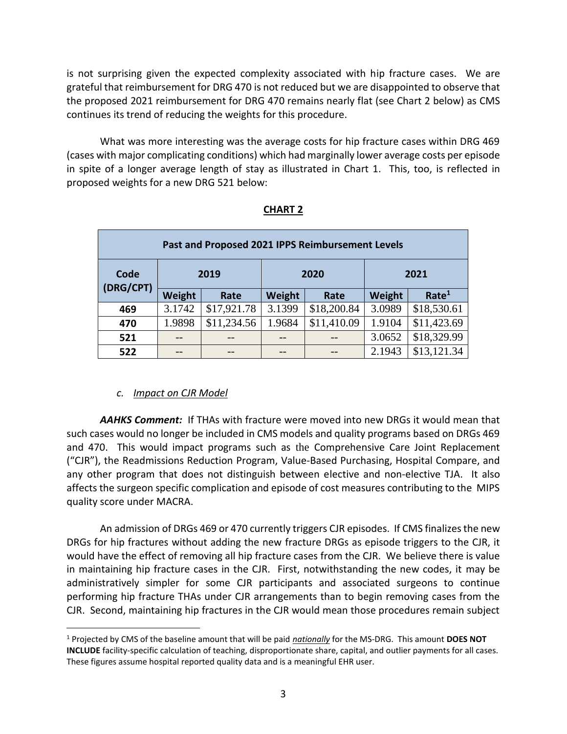is not surprising given the expected complexity associated with hip fracture cases. We are grateful that reimbursement for DRG 470 is not reduced but we are disappointed to observe that the proposed 2021 reimbursement for DRG 470 remains nearly flat (see Chart 2 below) as CMS continues its trend of reducing the weights for this procedure.

What was more interesting was the average costs for hip fracture cases within DRG 469 (cases with major complicating conditions) which had marginally lower average costs per episode in spite of a longer average length of stay as illustrated in Chart 1. This, too, is reflected in proposed weights for a new DRG 521 below:

| Past and Proposed 2021 IPPS Reimbursement Levels |        |             |        |             |        |                   |  |  |  |
|--------------------------------------------------|--------|-------------|--------|-------------|--------|-------------------|--|--|--|
| Code<br>(DRG/CPT)                                | 2019   |             | 2020   |             | 2021   |                   |  |  |  |
|                                                  | Weight | Rate        | Weight | Rate        | Weight | Rate <sup>1</sup> |  |  |  |
| 469                                              | 3.1742 | \$17,921.78 | 3.1399 | \$18,200.84 | 3.0989 | \$18,530.61       |  |  |  |
| 470                                              | 1.9898 | \$11,234.56 | 1.9684 | \$11,410.09 | 1.9104 | \$11,423.69       |  |  |  |
| 521                                              | --     |             |        |             | 3.0652 | \$18,329.99       |  |  |  |
| 522                                              |        |             |        |             | 2.1943 | \$13,121.34       |  |  |  |

## **CHART 2**

## *c. Impact on CJR Model*

 $\overline{a}$ 

*AAHKS Comment:* If THAs with fracture were moved into new DRGs it would mean that such cases would no longer be included in CMS models and quality programs based on DRGs 469 and 470. This would impact programs such as the Comprehensive Care Joint Replacement ("CJR"), the Readmissions Reduction Program, Value-Based Purchasing, Hospital Compare, and any other program that does not distinguish between elective and non-elective TJA. It also affects the surgeon specific complication and episode of cost measures contributing to the MIPS quality score under MACRA.

An admission of DRGs 469 or 470 currently triggers CJR episodes. If CMS finalizes the new DRGs for hip fractures without adding the new fracture DRGs as episode triggers to the CJR, it would have the effect of removing all hip fracture cases from the CJR. We believe there is value in maintaining hip fracture cases in the CJR. First, notwithstanding the new codes, it may be administratively simpler for some CJR participants and associated surgeons to continue performing hip fracture THAs under CJR arrangements than to begin removing cases from the CJR. Second, maintaining hip fractures in the CJR would mean those procedures remain subject

<sup>1</sup> Projected by CMS of the baseline amount that will be paid *nationally* for the MS-DRG. This amount **DOES NOT INCLUDE** facility-specific calculation of teaching, disproportionate share, capital, and outlier payments for all cases. These figures assume hospital reported quality data and is a meaningful EHR user.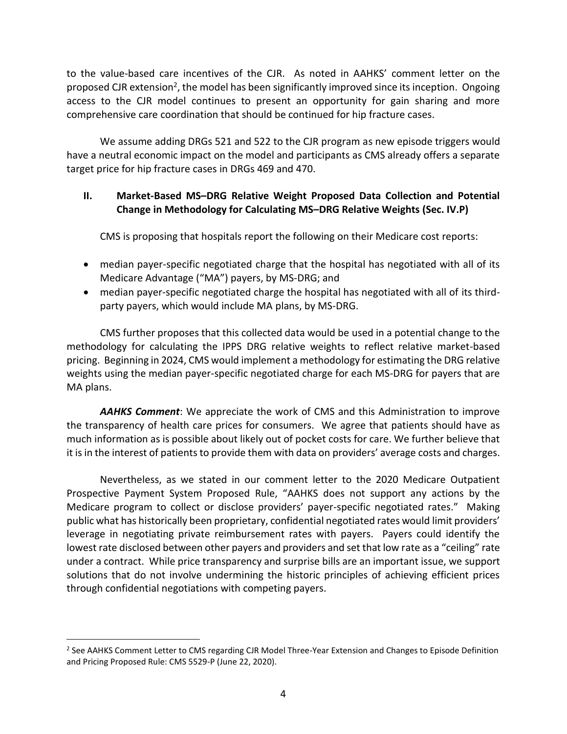to the value-based care incentives of the CJR. As noted in AAHKS' comment letter on the proposed CJR extension<sup>2</sup>, the model has been significantly improved since its inception. Ongoing access to the CJR model continues to present an opportunity for gain sharing and more comprehensive care coordination that should be continued for hip fracture cases.

We assume adding DRGs 521 and 522 to the CJR program as new episode triggers would have a neutral economic impact on the model and participants as CMS already offers a separate target price for hip fracture cases in DRGs 469 and 470.

## **II. Market-Based MS–DRG Relative Weight Proposed Data Collection and Potential Change in Methodology for Calculating MS–DRG Relative Weights (Sec. IV.P)**

CMS is proposing that hospitals report the following on their Medicare cost reports:

- median payer-specific negotiated charge that the hospital has negotiated with all of its Medicare Advantage ("MA") payers, by MS-DRG; and
- median payer-specific negotiated charge the hospital has negotiated with all of its thirdparty payers, which would include MA plans, by MS-DRG.

CMS further proposes that this collected data would be used in a potential change to the methodology for calculating the IPPS DRG relative weights to reflect relative market-based pricing. Beginning in 2024, CMS would implement a methodology for estimating the DRG relative weights using the median payer-specific negotiated charge for each MS-DRG for payers that are MA plans.

*AAHKS Comment*: We appreciate the work of CMS and this Administration to improve the transparency of health care prices for consumers. We agree that patients should have as much information as is possible about likely out of pocket costs for care. We further believe that it is in the interest of patients to provide them with data on providers' average costs and charges.

Nevertheless, as we stated in our comment letter to the 2020 Medicare Outpatient Prospective Payment System Proposed Rule, "AAHKS does not support any actions by the Medicare program to collect or disclose providers' payer-specific negotiated rates." Making public what has historically been proprietary, confidential negotiated rates would limit providers' leverage in negotiating private reimbursement rates with payers. Payers could identify the lowest rate disclosed between other payers and providers and set that low rate as a "ceiling" rate under a contract. While price transparency and surprise bills are an important issue, we support solutions that do not involve undermining the historic principles of achieving efficient prices through confidential negotiations with competing payers.

 $\overline{a}$ 

<sup>&</sup>lt;sup>2</sup> See AAHKS Comment Letter to CMS regarding CJR Model Three-Year Extension and Changes to Episode Definition and Pricing Proposed Rule: CMS 5529-P (June 22, 2020).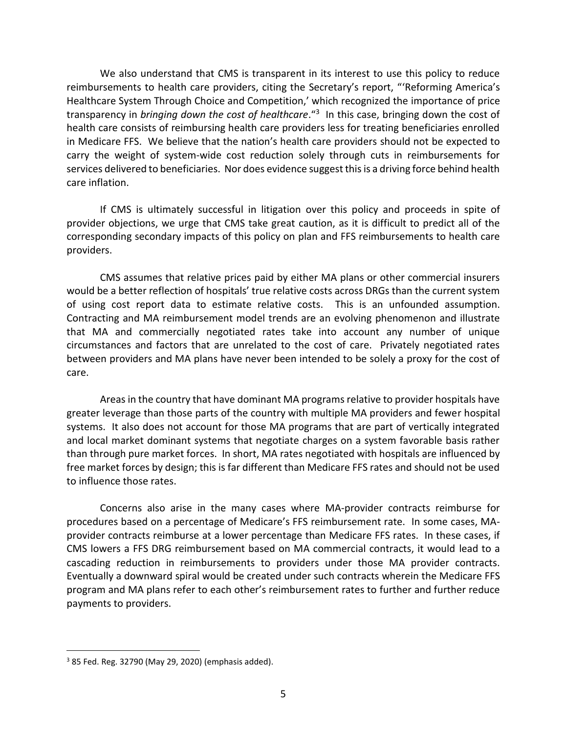We also understand that CMS is transparent in its interest to use this policy to reduce reimbursements to health care providers, citing the Secretary's report, "'Reforming America's Healthcare System Through Choice and Competition,' which recognized the importance of price transparency in *bringing down the cost of healthcare*."<sup>3</sup> In this case, bringing down the cost of health care consists of reimbursing health care providers less for treating beneficiaries enrolled in Medicare FFS. We believe that the nation's health care providers should not be expected to carry the weight of system-wide cost reduction solely through cuts in reimbursements for services delivered to beneficiaries. Nor does evidence suggest this is a driving force behind health care inflation.

If CMS is ultimately successful in litigation over this policy and proceeds in spite of provider objections, we urge that CMS take great caution, as it is difficult to predict all of the corresponding secondary impacts of this policy on plan and FFS reimbursements to health care providers.

CMS assumes that relative prices paid by either MA plans or other commercial insurers would be a better reflection of hospitals' true relative costs across DRGs than the current system of using cost report data to estimate relative costs. This is an unfounded assumption. Contracting and MA reimbursement model trends are an evolving phenomenon and illustrate that MA and commercially negotiated rates take into account any number of unique circumstances and factors that are unrelated to the cost of care. Privately negotiated rates between providers and MA plans have never been intended to be solely a proxy for the cost of care.

Areas in the country that have dominant MA programs relative to provider hospitals have greater leverage than those parts of the country with multiple MA providers and fewer hospital systems. It also does not account for those MA programs that are part of vertically integrated and local market dominant systems that negotiate charges on a system favorable basis rather than through pure market forces. In short, MA rates negotiated with hospitals are influenced by free market forces by design; this is far different than Medicare FFS rates and should not be used to influence those rates.

Concerns also arise in the many cases where MA-provider contracts reimburse for procedures based on a percentage of Medicare's FFS reimbursement rate. In some cases, MAprovider contracts reimburse at a lower percentage than Medicare FFS rates. In these cases, if CMS lowers a FFS DRG reimbursement based on MA commercial contracts, it would lead to a cascading reduction in reimbursements to providers under those MA provider contracts. Eventually a downward spiral would be created under such contracts wherein the Medicare FFS program and MA plans refer to each other's reimbursement rates to further and further reduce payments to providers.

 $\overline{a}$ 

<sup>3</sup> 85 Fed. Reg. 32790 (May 29, 2020) (emphasis added).